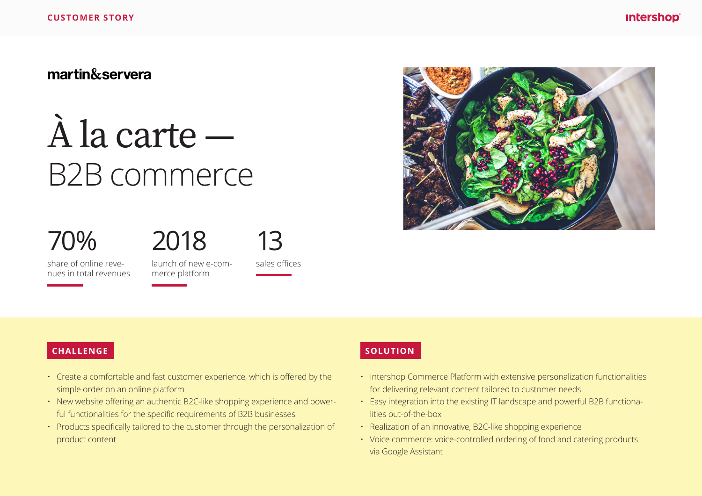## martin&servera

# À la carte — B2B commerce

# 70%

share of online revenues in total revenues launch of new e-com-

2018

13

merce platform

sales offices

#### **CHALLENGE**

- Create a comfortable and fast customer experience, which is offered by the simple order on an online platform
- New website offering an authentic B2C-like shopping experience and powerful functionalities for the specific requirements of B2B businesses
- Products specifically tailored to the customer through the personalization of product content



#### **SOLUTION**

- Intershop Commerce Platform with extensive personalization functionalities for delivering relevant content tailored to customer needs
- Easy integration into the existing IT landscape and powerful B2B functionalities out-of-the-box
- Realization of an innovative, B2C-like shopping experience
- Voice commerce: voice-controlled ordering of food and catering products via Google Assistant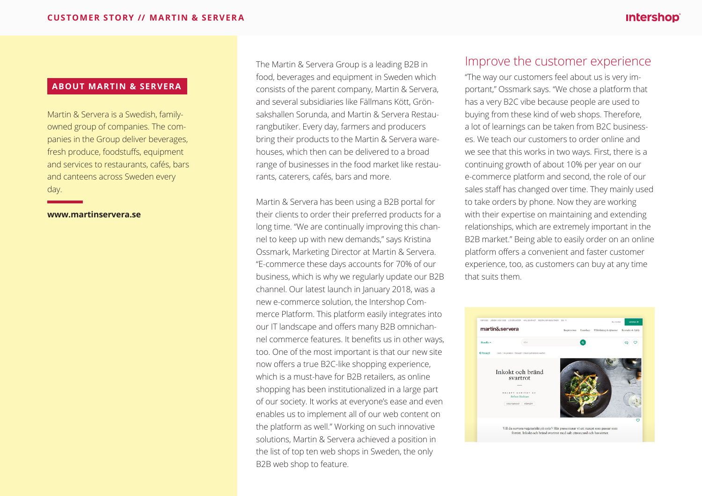#### **ABOUT MARTIN & SERVERA**

Martin & Servera is a Swedish, familyowned group of companies. The companies in the Group deliver beverages, fresh produce, foodstuffs, equipment and services to restaurants, cafés, bars and canteens across Sweden every day.

#### **www.martinservera.se**

The Martin & Servera Group is a leading B2B in food, beverages and equipment in Sweden which consists of the parent company, Martin & Servera, and several subsidiaries like Fällmans Kött, Grönsakshallen Sorunda, and Martin & Servera Restaurangbutiker. Every day, farmers and producers bring their products to the Martin & Servera warehouses, which then can be delivered to a broad range of businesses in the food market like restaurants, caterers, cafés, bars and more.

Martin & Servera has been using a B2B portal for their clients to order their preferred products for a long time. "We are continually improving this channel to keep up with new demands," says Kristina Ossmark, Marketing Director at Martin & Servera. "E-commerce these days accounts for 70% of our business, which is why we regularly update our B2B channel. Our latest launch in January 2018, was a new e-commerce solution, the Intershop Commerce Platform. This platform easily integrates into our IT landscape and offers many B2B omnichannel commerce features. It benefits us in other ways, too. One of the most important is that our new site now offers a true B2C-like shopping experience, which is a must-have for B2B retailers, as online shopping has been institutionalized in a large part of our society. It works at everyone's ease and even enables us to implement all of our web content on the platform as well." Working on such innovative solutions, Martin & Servera achieved a position in the list of top ten web shops in Sweden, the only B2B web shop to feature.

### Improve the customer experience

"The way our customers feel about us is very important," Ossmark says. "We chose a platform that has a very B2C vibe because people are used to buying from these kind of web shops. Therefore, a lot of learnings can be taken from B2C businesses. We teach our customers to order online and we see that this works in two ways. First, there is a continuing growth of about 10% per year on our e-commerce platform and second, the role of our sales staff has changed over time. They mainly used to take orders by phone. Now they are working with their expertise on maintaining and extending relationships, which are extremely important in the B2B market." Being able to easily order on an online platform offers a convenient and faster customer experience, too, as customers can buy at any time that suits them.

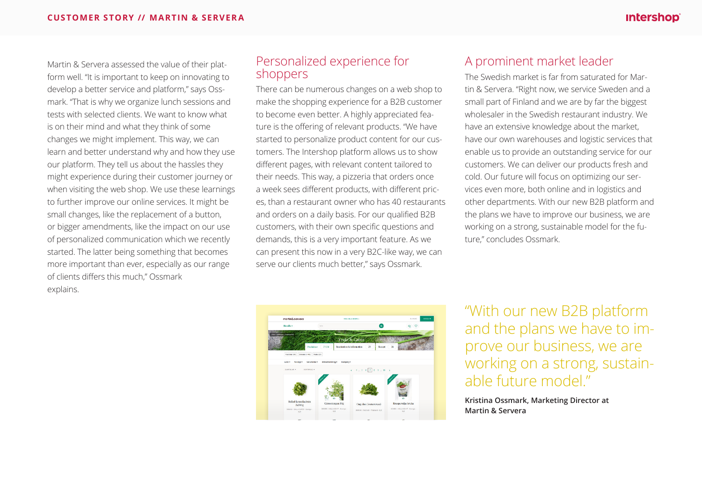Martin & Servera assessed the value of their platform well. "It is important to keep on innovating to develop a better service and platform," says Ossmark. "That is why we organize lunch sessions and tests with selected clients. We want to know what is on their mind and what they think of some changes we might implement. This way, we can learn and better understand why and how they use our platform. They tell us about the hassles they might experience during their customer journey or when visiting the web shop. We use these learnings to further improve our online services. It might be small changes, like the replacement of a button, or bigger amendments, like the impact on our use of personalized communication which we recently started. The latter being something that becomes more important than ever, especially as our range of clients differs this much," Ossmark explains.

#### Personalized experience for shoppers

There can be numerous changes on a web shop to make the shopping experience for a B2B customer to become even better. A highly appreciated feature is the offering of relevant products. "We have started to personalize product content for our customers. The Intershop platform allows us to show different pages, with relevant content tailored to their needs. This way, a pizzeria that orders once a week sees different products, with different prices, than a restaurant owner who has 40 restaurants and orders on a daily basis. For our qualified B2B customers, with their own specific questions and demands, this is a very important feature. As we can present this now in a very B2C-like way, we can serve our clients much better," says Ossmark.

### A prominent market leader

The Swedish market is far from saturated for Martin & Servera. "Right now, we service Sweden and a small part of Finland and we are by far the biggest wholesaler in the Swedish restaurant industry. We have an extensive knowledge about the market, have our own warehouses and logistic services that enable us to provide an outstanding service for our customers. We can deliver our products fresh and cold. Our future will focus on optimizing our services even more, both online and in logistics and other departments. With our new B2B platform and the plans we have to improve our business, we are working on a strong, sustainable model for the future," concludes Ossmark.



"With our new B2B platform and the plans we have to improve our business, we are working on a strong, sustainable future model."

**Kristina Ossmark, Marketing Director at Martin & Servera**